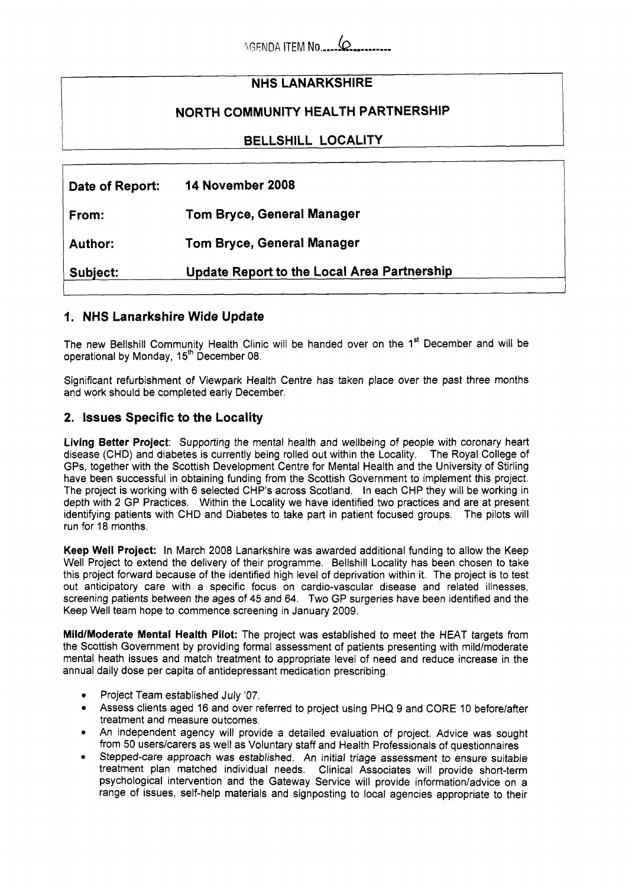# **NHS LANARKSHIRE**

## **NORTH COMMUNITY HEALTH PARTNERSHIP**

**BELLSHILL LOCALITY** 

| Date of Report: | 14 November 2008                            |
|-----------------|---------------------------------------------|
| From:           | Tom Bryce, General Manager                  |
| <b>Author:</b>  | Tom Bryce, General Manager                  |
| Subject:        | Update Report to the Local Area Partnership |

#### **1. NHS Lanarkshire Wide Update**

The new Bellshill Community Health Clinic will be handed over on the 1<sup>st</sup> December and will be operational by Monday, 15<sup>th</sup> December 08.

Significant refurbishment of Viewpark Health Centre has taken place over the past three months and work should be completed early December.

### **2. Issues Specific to the Locality**

**Living Better Project:** Supporting the mental health and wellbeing of people with coronary heart disease (CHD) and diabetes is currently being rolled out within the Locality. The Royal College of GPs, together with the Scottish Development Centre for Mental Health and the University of Stirling have been successful in obtaining funding from the Scottish Government to implement this project. The project is working with 6 selected CHP's across Scotland. In each CHP they will be working in depth with 2 GP Practices. Within the Locality we have identified two practices and are at present identifying patients with CHD and Diabetes to take part in patient focused groups. The pilots will run for 18 months.

**Keep Well Project:** In March 2008 Lanarkshire was awarded additional funding to allow the Keep Well Project to extend the delivery of their programme. Bellshill Locality has been chosen to take this project forward because of the identified high level of deprivation within it. The project is to test out anticipatory care with a specific focus on cardio-vascular disease and related illnesses, screening patients between the ages of **45** and 64. Two GP surgeries have been identified and the Keep Well team hope to commence screening in January 2009.

**Mild/Moderate Mental Health Pilot:** The project was established to meet the HEAT targets from the Scottish Government by providing formal assessment of patients presenting with mild/moderate mental heath issues and match treatment to appropriate level of need and reduce increase in the annual daily dose per capita of antidepressant medication prescribing.

- *0*  Project Team established July '07.
- *0*  Assess clients aged 16 and over referred to project using PHQ 9 and CORE 10 beforelafter treatment and measure outcomes.
- *0*  An independent agency will provide a detailed evaluation of project. Advice was sought from 50 users/carers as well as Voluntary staff and Health Professionals of questionnaires
- *0*  Stepped-care approach was established. An initial triage assessment to ensure suitable treatment plan matched individual needs. Clinical Associates will provide short-term psychological intervention and the Gateway Service will provide information/advice on a range of issues, self-help materials and signposting to local agencies appropriate to their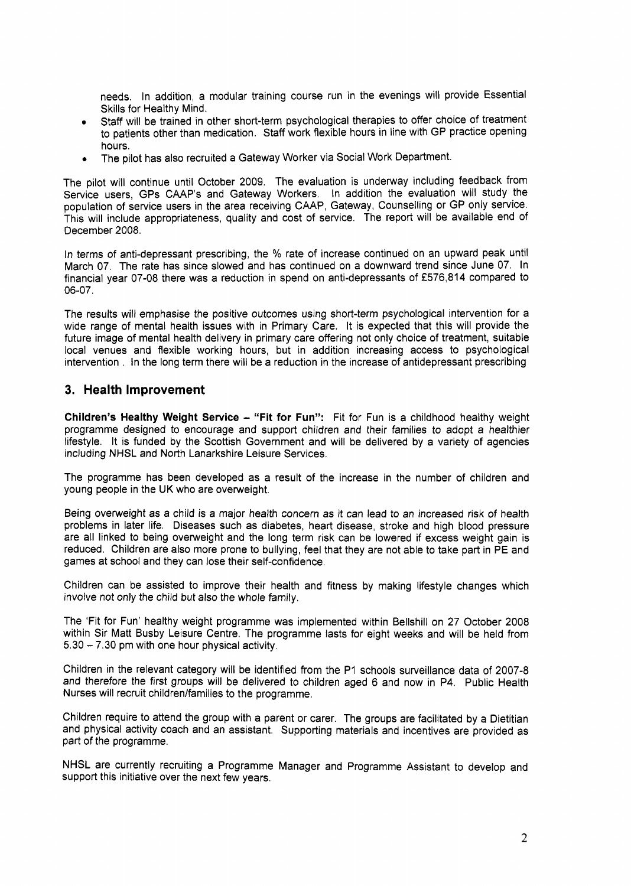needs. In addition, a modular training course run in the evenings will provide Essential Skills for Healthy Mind.

- Staff will be trained in other short-term psychological therapies to offer choice of treatment to patients other than medication. Staff work flexible hours in line with GP practice opening hours. *0*
- The pilot has also recruited a Gateway Worker via Social Work Department. *0*

The pilot will continue until October **2009.** The evaluation is underway including feedback from Service users, GPs CAAP's and Gateway Workers. In addition the evaluation will study the population of service users in the area receiving CAAP, Gateway, Counselling or GP only service. This will include appropriateness, quality and cost of service. The report will be available end of December **2008.** 

In terms of anti-depressant prescribing, the % rate of increase continued on an upward peak until March **07.** The rate has since slowed and has continued on a downward trend since June **07.** In financial year **07-08** there was a reduction in spend on anti-depressants of **f576,814** compared to **06-07.** 

The results will emphasise the positive outcomes using short-term psychological intervention for a wide range of mental health issues with in Primary Care. It is expected that this will provide the future image of mental health delivery in primary care offering not only choice of treatment, suitable local venues and flexible working hours, but in addition increasing access to psychological intervention . In the long term there will be a reduction in the increase of antidepressant prescribing

#### **3. Health Improvement**

**Children's Healthy Weight Service - "Fit for Fun":** Fit for Fun is a childhood healthy weight programme designed to encourage and support children and their families to adopt a healthier lifestyle. It is funded by the Scottish Government and will be delivered by a variety of agencies including NHSL and North Lanarkshire Leisure Services.

The programme has been developed as a result of the increase in the number of children and young people in the UK who are overweight.

Being overweight as a child is a major health concern as it can lead to an increased risk of health problems in later life. Diseases such as diabetes, heart disease, stroke and high blood pressure are all linked to being overweight and the long term risk can be lowered if excess weight gain is reduced. Children are also more prone to bullying, feel that they are not able to take part in PE and games at school and they can lose their self-confidence.

Children can be assisted to improve their health and fitness by making lifestyle changes which involve not only the child but also the whole family.

The 'Fit for Fun' healthy weight programme was implemented within Bellshill on **27** October **2008**  within Sir Matt Busby Leisure Centre. The programme lasts for eight weeks and will be held from **5.30** - **7.30** pm with one hour physical activity.

Children in the relevant category will be identified from the PI schools surveillance data of **2007-8**  and therefore the first groups will be delivered to children aged **6** and now in P4. Public Health Nurses will recruit children/families to the programme.

Children require to attend the group with a parent or carer. The groups are facilitated by a Dietitian and physical activity coach and an assistant. Supporting materials and incentives are provided as part of the programme.

NHSL are currently recruiting a Programme Manager and Programme Assistant to develop and support this initiative over the next few years.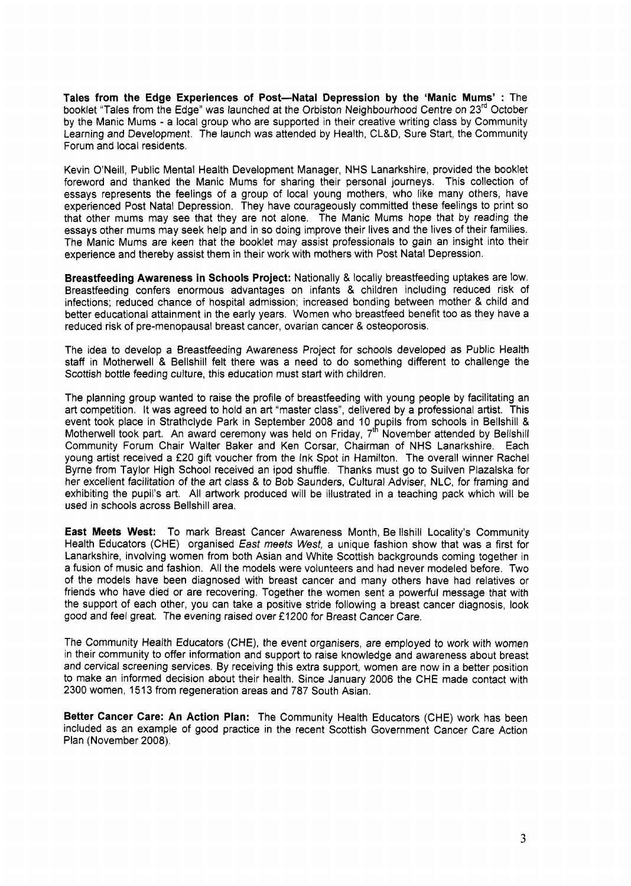**Tales from the Edge Experiences of Post-Natal Depression by the 'Manic Mums'** : The booklet "Tales from the Edge" was launched at the Orbiston Neighbourhood Centre on 23<sup>rd</sup> October by the Manic Mums - a local group who are supported in their creative writing class by Community Learning and Development. The launch was attended by Health, CL&D, Sure Start, the Community Forum and local residents.

Kevin O'Neill, Public Mental Health Development Manager, NHS Lanarkshire, provided the booklet foreword and thanked the Manic Mums for sharing their personal journeys. This collection of essays represents the feelings of a group of local young mothers, who like many others, have experienced Post Natal Depression. They have courageously committed these feelings to print so that other mums may see that they are not alone. The Manic Mums hope that by reading the essays other mums may seek help and in so doing improve their lives and the lives of their families. The Manic Mums are keen that the booklet may assist professionals to gain an insight into their experience and thereby assist them in their work with mothers with Post Natal Depression.

**Breastfeeding Awareness in Schools Project:** Nationally & locally breastfeeding uptakes are low. Breastfeeding confers enormous advantages on infants & children including reduced risk of infections; reduced chance of hospital admission; increased bonding between mother & child and better educational attainment in the early years. Women who breastfeed benefit too as they have a reduced risk of pre-menopausal breast cancer, ovarian cancer & osteoporosis.

The idea to develop a Breastfeeding Awareness Project for schools developed as Public Health staff in Motherwell & Bellshill felt there was a need to do something different to challenge the Scottish bottle feeding culture, this education must start with children.

The planning group wanted to raise the profile of breastfeeding with young people by facilitating an art competition. It was agreed to hold an art "master class", delivered by a professional artist. This event took place in Strathclyde Park in September 2008 and 10 pupils from schools in Bellshill & Motherwell took part. An award ceremony was held on Friday, **7'** November attended by Bellshill Community Forum Chair Walter Baker and Ken Corsar, Chairman of NHS Lanarkshire. Each young artist received a **f20** gift voucher from the Ink Spot in Hamilton. The overall winner Rachel Byrne from Taylor High School received an ipod shuffle. Thanks must go to Suilven Plazalska for her excellent facilitation of the art class & to Bob Saunders, Cultural Adviser, NLC, for framing and exhibiting the pupil's art. All artwork produced will be illustrated in a teaching pack which will be used in schools across Bellshill area.

**East Meets West:** To mark Breast Cancer Awareness Month, Be llshill Locality's Community Health Educators (CHE) organised *East meets West,* a unique fashion show that was a first for Lanarkshire, involving women from both Asian and White Scottish backgrounds coming together in a fusion of music and fashion. All the models were volunteers and had never modeled before. Two of the models have been diagnosed with breast cancer and many others have had relatives or friends who have died or are recovering. Together the women sent a powerful message that with the support of each other, you can take a positive stride following a breast cancer diagnosis, look good and feel great. The evening raised over *f* 1200 for Breast Cancer Care.

The Community Health Educators (CHE), the event organisers, are employed *to* work with women in their community to offer information and support to raise knowledge and awareness about breast and cervical screening services. By receiving this extra support, women are now in a better position to make an informed decision about their health. Since January 2006 the CHE made contact with **2300** women, 151 **3** from regeneration areas and **787** South Asian.

**Better Cancer Care: An Action Plan:** The Community Health Educators (CHE) work has been included as an example of good practice in the recent Scottish Government Cancer Care Action Plan (November **2008).**